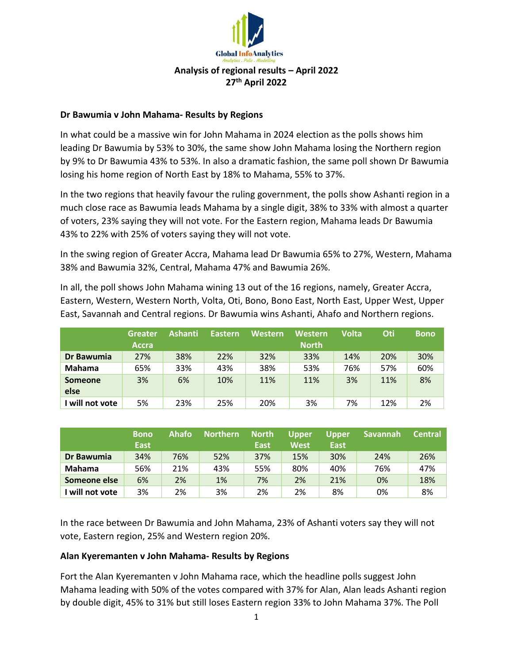

## **Dr Bawumia v John Mahama- Results by Regions**

In what could be a massive win for John Mahama in 2024 election as the polls shows him leading Dr Bawumia by 53% to 30%, the same show John Mahama losing the Northern region by 9% to Dr Bawumia 43% to 53%. In also a dramatic fashion, the same poll shown Dr Bawumia losing his home region of North East by 18% to Mahama, 55% to 37%.

In the two regions that heavily favour the ruling government, the polls show Ashanti region in a much close race as Bawumia leads Mahama by a single digit, 38% to 33% with almost a quarter of voters, 23% saying they will not vote. For the Eastern region, Mahama leads Dr Bawumia 43% to 22% with 25% of voters saying they will not vote.

In the swing region of Greater Accra, Mahama lead Dr Bawumia 65% to 27%, Western, Mahama 38% and Bawumia 32%, Central, Mahama 47% and Bawumia 26%.

In all, the poll shows John Mahama wining 13 out of the 16 regions, namely, Greater Accra, Eastern, Western, Western North, Volta, Oti, Bono, Bono East, North East, Upper West, Upper East, Savannah and Central regions. Dr Bawumia wins Ashanti, Ahafo and Northern regions.

|                 | <b>Greater</b> | <b>Ashanti</b> | <b>Eastern</b> | Western | <b>Western</b> | <b>Volta</b> | Oti | <b>Bono</b> |
|-----------------|----------------|----------------|----------------|---------|----------------|--------------|-----|-------------|
|                 | Accra          |                |                |         | <b>North</b>   |              |     |             |
| Dr Bawumia      | 27%            | 38%            | 22%            | 32%     | 33%            | 14%          | 20% | 30%         |
| <b>Mahama</b>   | 65%            | 33%            | 43%            | 38%     | 53%            | 76%          | 57% | 60%         |
| <b>Someone</b>  | 3%             | 6%             | 10%            | 11%     | 11%            | 3%           | 11% | 8%          |
| else            |                |                |                |         |                |              |     |             |
| I will not vote | 5%             | 23%            | 25%            | 20%     | 3%             | 7%           | 12% | 2%          |

|                 | <b>Bono</b><br><b>East</b> | Ahafo | <b>Northern</b> | <b>North</b><br><b>East</b> | <b>Upper</b><br><b>West</b> | Upper<br>East | <b>Savannah</b> | <b>Central</b> |
|-----------------|----------------------------|-------|-----------------|-----------------------------|-----------------------------|---------------|-----------------|----------------|
| Dr Bawumia      | 34%                        | 76%   | 52%             | 37%                         | 15%                         | 30%           | 24%             | 26%            |
| <b>Mahama</b>   | 56%                        | 21%   | 43%             | 55%                         | 80%                         | 40%           | 76%             | 47%            |
| Someone else    | 6%                         | 2%    | 1%              | 7%                          | 2%                          | 21%           | 0%              | 18%            |
| I will not vote | 3%                         | 2%    | 3%              | 2%                          | 2%                          | 8%            | 0%              | 8%             |

In the race between Dr Bawumia and John Mahama, 23% of Ashanti voters say they will not vote, Eastern region, 25% and Western region 20%.

## **Alan Kyeremanten v John Mahama- Results by Regions**

Fort the Alan Kyeremanten v John Mahama race, which the headline polls suggest John Mahama leading with 50% of the votes compared with 37% for Alan, Alan leads Ashanti region by double digit, 45% to 31% but still loses Eastern region 33% to John Mahama 37%. The Poll